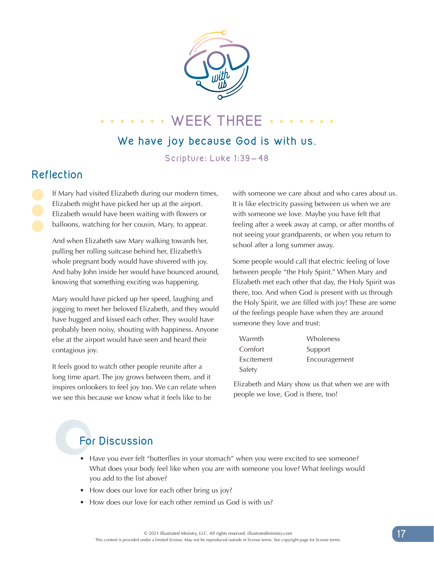

# **WEEK THREE** ....

#### **We have joy because God is with us**.

**Scripture: Luke 1:39-48**

### **Reflection**

If Mary had visited Elizabeth during our modern times, Elizabeth might have picked her up at the airport. Elizabeth would have been waiting with flowers or balloons, watching for her cousin, Mary, to appear.

And when Elizabeth saw Mary walking towards her, pulling her rolling suitcase behind her, Elizabeth's whole pregnant body would have shivered with joy. And baby John inside her would have bounced around, knowing that something exciting was happening.

Mary would have picked up her speed, laughing and jogging to meet her beloved Elizabeth, and they would have hugged and kissed each other. They would have probably been noisy, shouting with happiness. Anyone else at the airport would have seen and heard their contagious joy.

It feels good to watch other people reunite after a long time apart. The joy grows between them, and it inspires onlookers to feel joy too. We can relate when we see this because we know what it feels like to be

with someone we care about and who cares about us. It is like electricity passing between us when we are with someone we love. Maybe you have felt that feeling after a week away at camp, or after months of not seeing your grandparents, or when you return to school after a long summer away.

Some people would call that electric feeling of love between people "the Holy Spirit." When Mary and Elizabeth met each other that day, the Holy Spirit was there, too. And when God is present with us through the Holy Spirit, we are filled with joy! These are some of the feelings people have when they are around someone they love and trust:

| Warmth     | Wholeness     |
|------------|---------------|
| Comfort    | Support       |
| Excitement | Encouragement |
| Safety     |               |

Elizabeth and Mary show us that when we are with people we love, God is there, too!

# **For Discussion**

- Have you ever felt "butterflies in your stomach" when you were excited to see someone? What does your body feel like when you are with someone you love? What feelings would you add to the list above?
- How does our love for each other bring us joy?
- How does our love for each other remind us God is with us?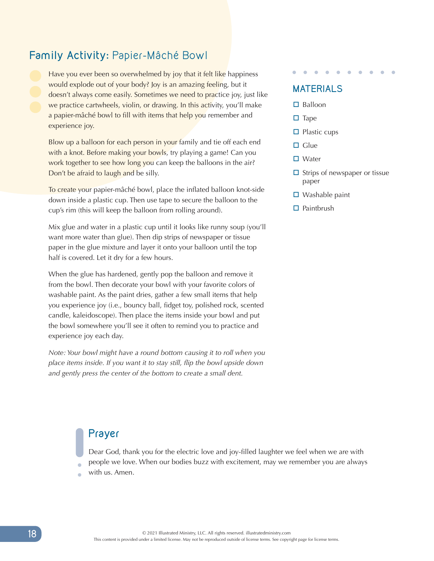#### **Family Activity:** Papier-Mâché Bowl

Have you ever been so overwhelmed by joy that it felt like happiness would explode out of your body? Joy is an amazing feeling, but it doesn't always come easily. Sometimes we need to practice joy, just like we practice cartwheels, violin, or drawing. In this activity, you'll make a papier-mâché bowl to fill with items that help you remember and experience joy.

Blow up a balloon for each person in your family and tie off each end with a knot. Before making your bowls, try playing a game! Can you work together to see how long you can keep the balloons in the air? Don't be afraid to laugh and be silly.

To create your papier-mâché bowl, place the inflated balloon knot-side down inside a plastic cup. Then use tape to secure the balloon to the cup's rim (this will keep the balloon from rolling around).

Mix glue and water in a plastic cup until it looks like runny soup (you'll want more water than glue). Then dip strips of newspaper or tissue paper in the glue mixture and layer it onto your balloon until the top half is covered. Let it dry for a few hours.

When the glue has hardened, gently pop the balloon and remove it from the bowl. Then decorate your bowl with your favorite colors of washable paint. As the paint dries, gather a few small items that help you experience joy (i.e., bouncy ball, fidget toy, polished rock, scented candle, kaleidoscope). Then place the items inside your bowl and put the bowl somewhere you'll see it often to remind you to practice and experience joy each day.

*Note: Your bowl might have a round bottom causing it to roll when you place items inside. If you want it to stay still, flip the bowl upside down and gently press the center of the bottom to create a small dent.*

## **MATERIALS**

- $\square$  Balloon
- $\square$  Tape
- $\Box$  Plastic cups
- $\square$  Glue
- $\square$  Water
- $\Box$  Strips of newspaper or tissue paper
- $\Box$  Washable paint
- $\square$  Paintbrush

#### **Prayer**

Dear God, thank you for the electric love and joy-filled laughter we feel when we are with people we love. When our bodies buzz with excitement, may we remember you are always

with us. Amen.